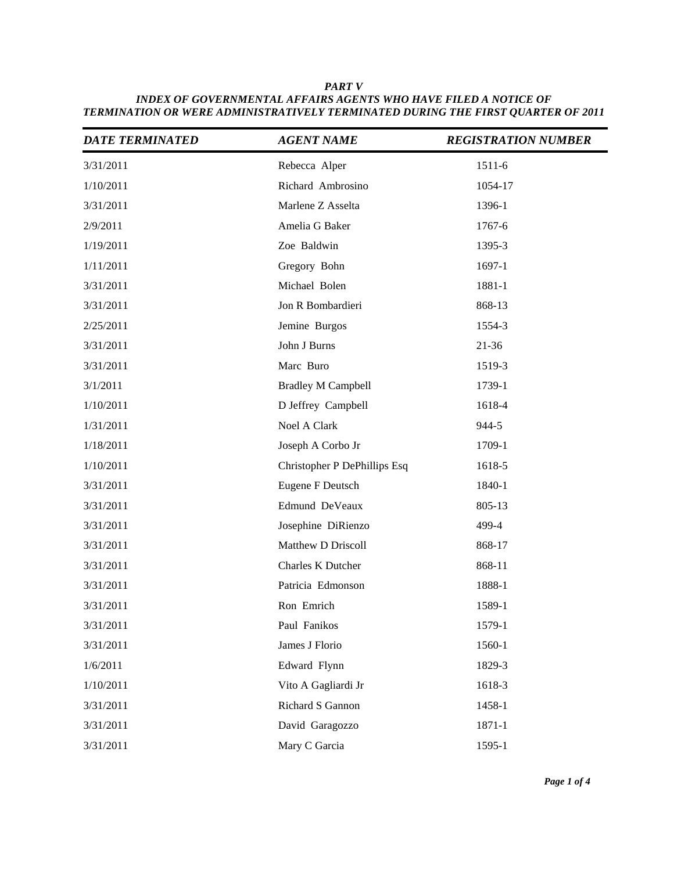| <b>DATE TERMINATED</b> | <b>AGENT NAME</b>            | <b>REGISTRATION NUMBER</b> |
|------------------------|------------------------------|----------------------------|
| 3/31/2011              | Rebecca Alper                | 1511-6                     |
| 1/10/2011              | Richard Ambrosino            | 1054-17                    |
| 3/31/2011              | Marlene Z Asselta            | 1396-1                     |
| 2/9/2011               | Amelia G Baker               | 1767-6                     |
| 1/19/2011              | Zoe Baldwin                  | 1395-3                     |
| 1/11/2011              | Gregory Bohn                 | 1697-1                     |
| 3/31/2011              | Michael Bolen                | 1881-1                     |
| 3/31/2011              | Jon R Bombardieri            | 868-13                     |
| 2/25/2011              | Jemine Burgos                | 1554-3                     |
| 3/31/2011              | John J Burns                 | $21 - 36$                  |
| 3/31/2011              | Marc Buro                    | 1519-3                     |
| 3/1/2011               | <b>Bradley M Campbell</b>    | 1739-1                     |
| 1/10/2011              | D Jeffrey Campbell           | 1618-4                     |
| 1/31/2011              | Noel A Clark                 | 944-5                      |
| 1/18/2011              | Joseph A Corbo Jr            | 1709-1                     |
| 1/10/2011              | Christopher P DePhillips Esq | 1618-5                     |
| 3/31/2011              | Eugene F Deutsch             | 1840-1                     |
| 3/31/2011              | Edmund DeVeaux               | 805-13                     |
| 3/31/2011              | Josephine DiRienzo           | 499-4                      |
| 3/31/2011              | Matthew D Driscoll           | 868-17                     |
| 3/31/2011              | Charles K Dutcher            | 868-11                     |
| 3/31/2011              | Patricia Edmonson            | 1888-1                     |
| 3/31/2011              | Ron Emrich                   | 1589-1                     |
| 3/31/2011              | Paul Fanikos                 | 1579-1                     |
| 3/31/2011              | James J Florio               | 1560-1                     |
| 1/6/2011               | Edward Flynn                 | 1829-3                     |
| 1/10/2011              | Vito A Gagliardi Jr          | 1618-3                     |
| 3/31/2011              | Richard S Gannon             | 1458-1                     |
| 3/31/2011              | David Garagozzo              | 1871-1                     |
| 3/31/2011              | Mary C Garcia                | 1595-1                     |

*PART V INDEX OF GOVERNMENTAL AFFAIRS AGENTS WHO HAVE FILED A NOTICE OF TERMINATION OR WERE ADMINISTRATIVELY TERMINATED DURING THE FIRST QUARTER OF 2011*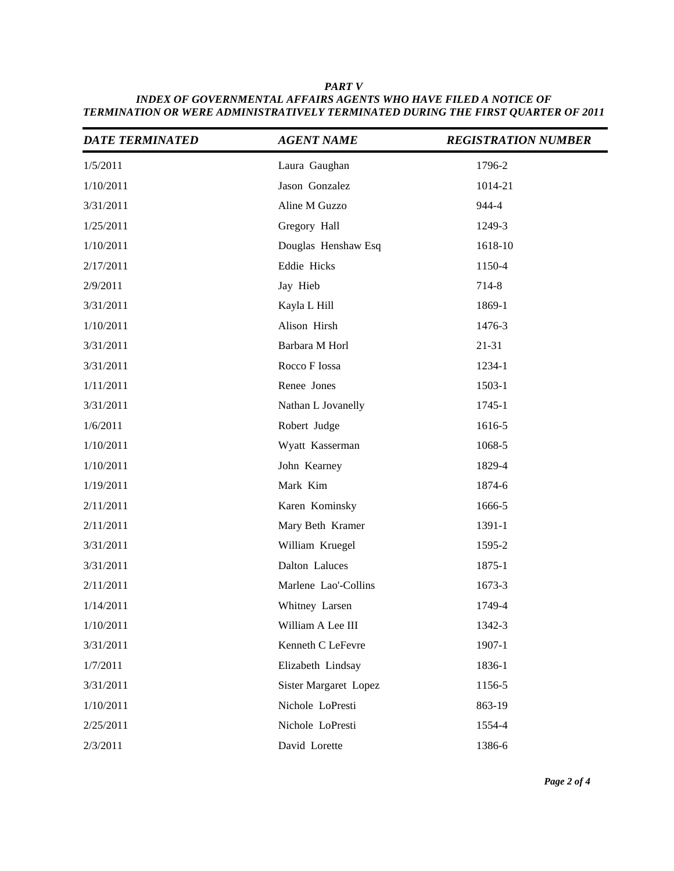| <b>DATE TERMINATED</b> | <b>AGENT NAME</b>     | <b>REGISTRATION NUMBER</b> |
|------------------------|-----------------------|----------------------------|
| 1/5/2011               | Laura Gaughan         | 1796-2                     |
| 1/10/2011              | Jason Gonzalez        | 1014-21                    |
| 3/31/2011              | Aline M Guzzo         | 944-4                      |
| 1/25/2011              | Gregory Hall          | 1249-3                     |
| 1/10/2011              | Douglas Henshaw Esq   | 1618-10                    |
| 2/17/2011              | Eddie Hicks           | 1150-4                     |
| 2/9/2011               | Jay Hieb              | 714-8                      |
| 3/31/2011              | Kayla L Hill          | 1869-1                     |
| 1/10/2011              | Alison Hirsh          | 1476-3                     |
| 3/31/2011              | Barbara M Horl        | $21 - 31$                  |
| 3/31/2011              | Rocco F Iossa         | 1234-1                     |
| 1/11/2011              | Renee Jones           | 1503-1                     |
| 3/31/2011              | Nathan L Jovanelly    | 1745-1                     |
| 1/6/2011               | Robert Judge          | 1616-5                     |
| 1/10/2011              | Wyatt Kasserman       | 1068-5                     |
| 1/10/2011              | John Kearney          | 1829-4                     |
| 1/19/2011              | Mark Kim              | 1874-6                     |
| 2/11/2011              | Karen Kominsky        | 1666-5                     |
| 2/11/2011              | Mary Beth Kramer      | 1391-1                     |
| 3/31/2011              | William Kruegel       | 1595-2                     |
| 3/31/2011              | Dalton Laluces        | 1875-1                     |
| 2/11/2011              | Marlene Lao'-Collins  | 1673-3                     |
| 1/14/2011              | Whitney Larsen        | 1749-4                     |
| 1/10/2011              | William A Lee III     | 1342-3                     |
| 3/31/2011              | Kenneth C LeFevre     | 1907-1                     |
| 1/7/2011               | Elizabeth Lindsay     | 1836-1                     |
| 3/31/2011              | Sister Margaret Lopez | 1156-5                     |
| 1/10/2011              | Nichole LoPresti      | 863-19                     |
| 2/25/2011              | Nichole LoPresti      | 1554-4                     |
| 2/3/2011               | David Lorette         | 1386-6                     |

*PART V INDEX OF GOVERNMENTAL AFFAIRS AGENTS WHO HAVE FILED A NOTICE OF TERMINATION OR WERE ADMINISTRATIVELY TERMINATED DURING THE FIRST QUARTER OF 2011*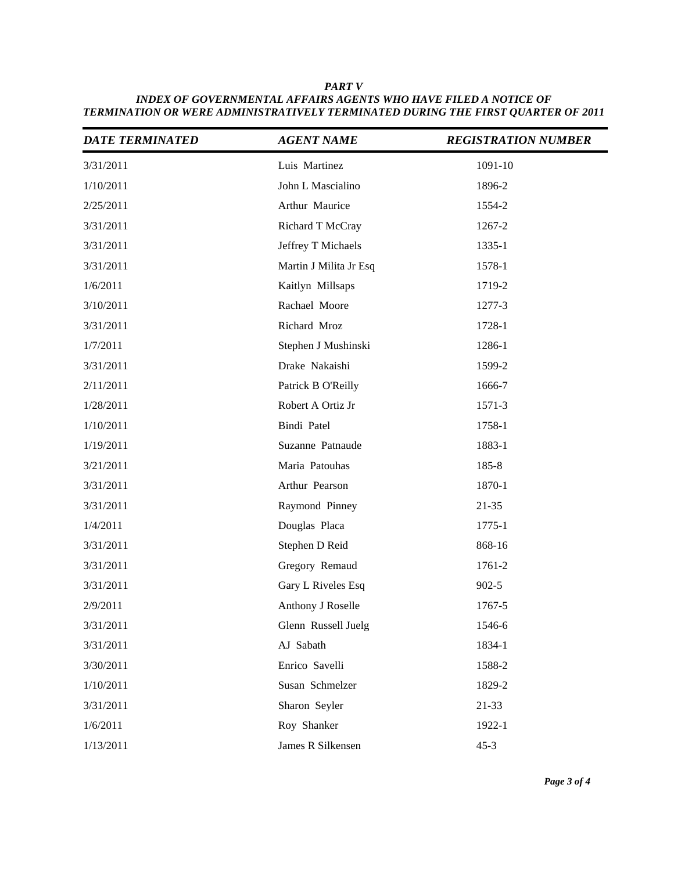| <b>DATE TERMINATED</b> | <b>AGENT NAME</b>      | <b>REGISTRATION NUMBER</b> |
|------------------------|------------------------|----------------------------|
| 3/31/2011              | Luis Martinez          | 1091-10                    |
| 1/10/2011              | John L Mascialino      | 1896-2                     |
| 2/25/2011              | Arthur Maurice         | 1554-2                     |
| 3/31/2011              | Richard T McCray       | 1267-2                     |
| 3/31/2011              | Jeffrey T Michaels     | 1335-1                     |
| 3/31/2011              | Martin J Milita Jr Esq | 1578-1                     |
| 1/6/2011               | Kaitlyn Millsaps       | 1719-2                     |
| 3/10/2011              | Rachael Moore          | 1277-3                     |
| 3/31/2011              | Richard Mroz           | 1728-1                     |
| 1/7/2011               | Stephen J Mushinski    | 1286-1                     |
| 3/31/2011              | Drake Nakaishi         | 1599-2                     |
| 2/11/2011              | Patrick B O'Reilly     | 1666-7                     |
| 1/28/2011              | Robert A Ortiz Jr      | 1571-3                     |
| 1/10/2011              | Bindi Patel            | 1758-1                     |
| 1/19/2011              | Suzanne Patnaude       | 1883-1                     |
| 3/21/2011              | Maria Patouhas         | $185 - 8$                  |
| 3/31/2011              | Arthur Pearson         | 1870-1                     |
| 3/31/2011              | Raymond Pinney         | $21 - 35$                  |
| 1/4/2011               | Douglas Placa          | 1775-1                     |
| 3/31/2011              | Stephen D Reid         | 868-16                     |
| 3/31/2011              | Gregory Remaud         | 1761-2                     |
| 3/31/2011              | Gary L Riveles Esq     | $902 - 5$                  |
| 2/9/2011               | Anthony J Roselle      | 1767-5                     |
| 3/31/2011              | Glenn Russell Juelg    | 1546-6                     |
| 3/31/2011              | AJ Sabath              | 1834-1                     |
| 3/30/2011              | Enrico Savelli         | 1588-2                     |
| 1/10/2011              | Susan Schmelzer        | 1829-2                     |
| 3/31/2011              | Sharon Seyler          | 21-33                      |
| 1/6/2011               | Roy Shanker            | 1922-1                     |
| 1/13/2011              | James R Silkensen      | $45 - 3$                   |

*PART V INDEX OF GOVERNMENTAL AFFAIRS AGENTS WHO HAVE FILED A NOTICE OF TERMINATION OR WERE ADMINISTRATIVELY TERMINATED DURING THE FIRST QUARTER OF 2011*